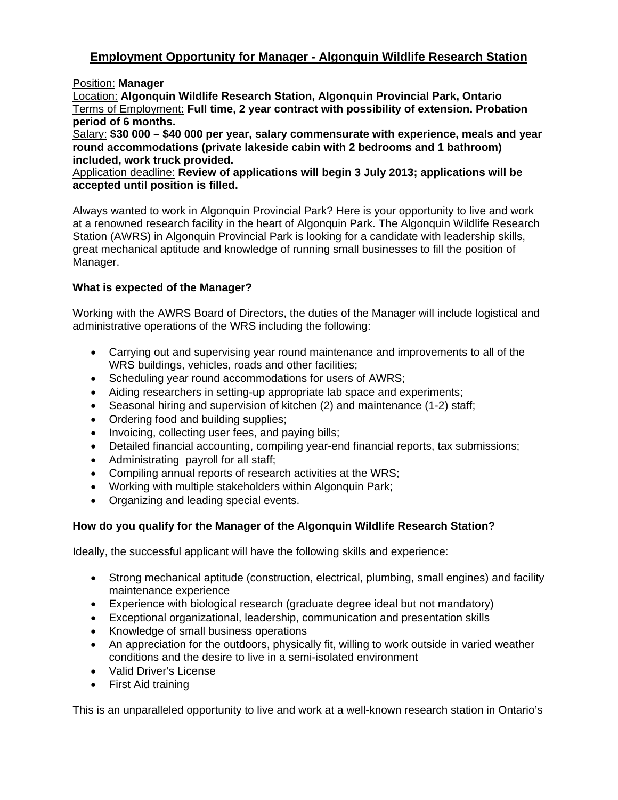## **Employment Opportunity for Manager - Algonquin Wildlife Research Station**

Position: **Manager**

Location: **Algonquin Wildlife Research Station, Algonquin Provincial Park, Ontario**  Terms of Employment: **Full time, 2 year contract with possibility of extension. Probation period of 6 months.** 

Salary: **\$30 000 – \$40 000 per year, salary commensurate with experience, meals and year round accommodations (private lakeside cabin with 2 bedrooms and 1 bathroom) included, work truck provided.**

Application deadline: **Review of applications will begin 3 July 2013; applications will be accepted until position is filled.** 

Always wanted to work in Algonquin Provincial Park? Here is your opportunity to live and work at a renowned research facility in the heart of Algonquin Park. The Algonquin Wildlife Research Station (AWRS) in Algonquin Provincial Park is looking for a candidate with leadership skills, great mechanical aptitude and knowledge of running small businesses to fill the position of Manager.

## **What is expected of the Manager?**

Working with the AWRS Board of Directors, the duties of the Manager will include logistical and administrative operations of the WRS including the following:

- Carrying out and supervising year round maintenance and improvements to all of the WRS buildings, vehicles, roads and other facilities;
- Scheduling year round accommodations for users of AWRS;
- Aiding researchers in setting-up appropriate lab space and experiments;
- Seasonal hiring and supervision of kitchen (2) and maintenance (1-2) staff;
- Ordering food and building supplies;
- Invoicing, collecting user fees, and paying bills;
- Detailed financial accounting, compiling year-end financial reports, tax submissions;
- Administrating payroll for all staff;
- Compiling annual reports of research activities at the WRS;
- Working with multiple stakeholders within Algonquin Park;
- Organizing and leading special events.

## **How do you qualify for the Manager of the Algonquin Wildlife Research Station?**

Ideally, the successful applicant will have the following skills and experience:

- Strong mechanical aptitude (construction, electrical, plumbing, small engines) and facility maintenance experience
- Experience with biological research (graduate degree ideal but not mandatory)
- Exceptional organizational, leadership, communication and presentation skills
- Knowledge of small business operations
- An appreciation for the outdoors, physically fit, willing to work outside in varied weather conditions and the desire to live in a semi-isolated environment
- Valid Driver's License
- First Aid training

This is an unparalleled opportunity to live and work at a well-known research station in Ontario's